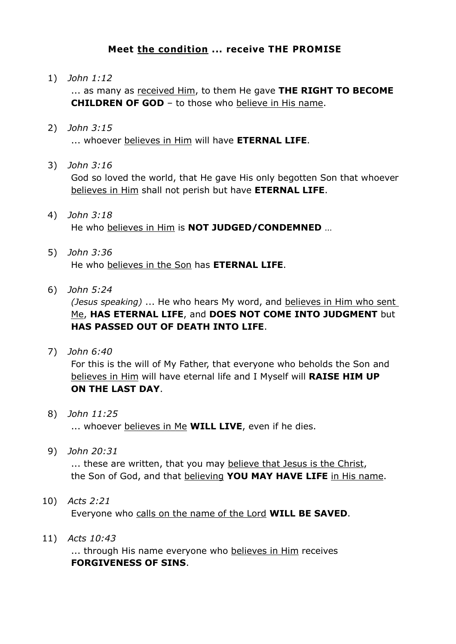## **Meet the condition ... receive THE PROMISE**

1) *John 1:12*

... as many as received Him, to them He gave **THE RIGHT TO BECOME CHILDREN OF GOD** – to those who believe in His name.

- 2) *John 3:15* ... whoever believes in Him will have **ETERNAL LIFE**.
- 3) *John 3:16*

God so loved the world, that He gave His only begotten Son that whoever believes in Him shall not perish but have **ETERNAL LIFE**.

- 4) *John 3:18* He who believes in Him is **NOT JUDGED/CONDEMNED** …
- 5) *John 3:36* He who believes in the Son has **ETERNAL LIFE**.
- 6) *John 5:24*

*(Jesus speaking)* ... He who hears My word, and believes in Him who sent Me, **HAS ETERNAL LIFE**, and **DOES NOT COME INTO JUDGMENT** but **HAS PASSED OUT OF DEATH INTO LIFE**.

7) *John 6:40*

For this is the will of My Father, that everyone who beholds the Son and believes in Him will have eternal life and I Myself will **RAISE HIM UP ON THE LAST DAY**.

- 8) *John 11:25* ... whoever believes in Me **WILL LIVE**, even if he dies.
- 9) *John 20:31*

... these are written, that you may believe that Jesus is the Christ, the Son of God, and that believing **YOU MAY HAVE LIFE** in His name.

- 10) *Acts 2:21* Everyone who calls on the name of the Lord **WILL BE SAVED**.
- 11) *Acts 10:43*

... through His name everyone who believes in Him receives **FORGIVENESS OF SINS**.